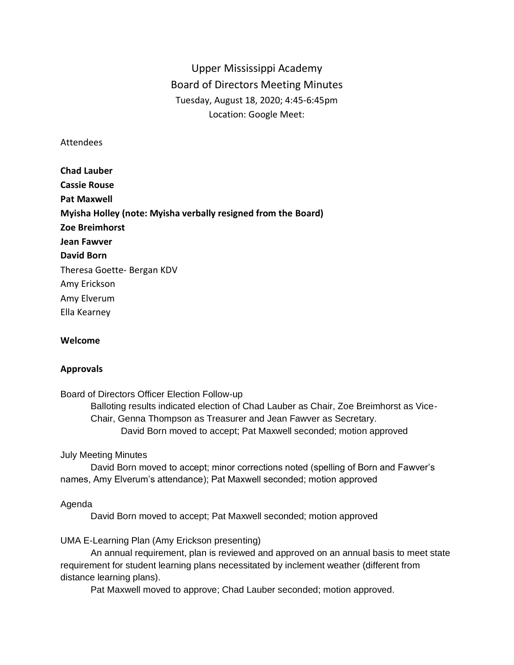# Upper Mississippi Academy Board of Directors Meeting Minutes Tuesday, August 18, 2020; 4:45-6:45pm Location: Google Meet:

## Attendees

**Chad Lauber Cassie Rouse Pat Maxwell Myisha Holley (note: Myisha verbally resigned from the Board) Zoe Breimhorst Jean Fawver David Born** Theresa Goette- Bergan KDV Amy Erickson Amy Elverum Ella Kearney

## **Welcome**

# **Approvals**

Board of Directors Officer Election Follow-up Balloting results indicated election of Chad Lauber as Chair, Zoe Breimhorst as Vice-Chair, Genna Thompson as Treasurer and Jean Fawver as Secretary. David Born moved to accept; Pat Maxwell seconded; motion approved

## July Meeting Minutes

David Born moved to accept; minor corrections noted (spelling of Born and Fawver's names, Amy Elverum's attendance); Pat Maxwell seconded; motion approved

## Agenda

David Born moved to accept; Pat Maxwell seconded; motion approved

## UMA E-Learning Plan (Amy Erickson presenting)

An annual requirement, plan is reviewed and approved on an annual basis to meet state requirement for student learning plans necessitated by inclement weather (different from distance learning plans).

Pat Maxwell moved to approve; Chad Lauber seconded; motion approved.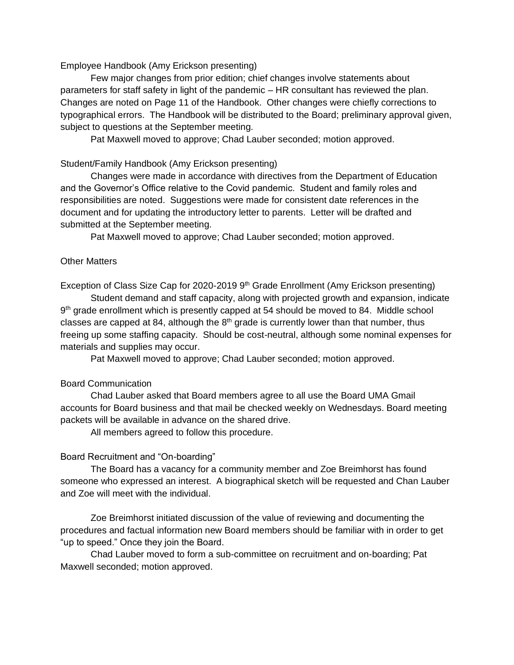Employee Handbook (Amy Erickson presenting)

Few major changes from prior edition; chief changes involve statements about parameters for staff safety in light of the pandemic – HR consultant has reviewed the plan. Changes are noted on Page 11 of the Handbook. Other changes were chiefly corrections to typographical errors. The Handbook will be distributed to the Board; preliminary approval given, subject to questions at the September meeting.

Pat Maxwell moved to approve; Chad Lauber seconded; motion approved.

#### Student/Family Handbook (Amy Erickson presenting)

Changes were made in accordance with directives from the Department of Education and the Governor's Office relative to the Covid pandemic. Student and family roles and responsibilities are noted. Suggestions were made for consistent date references in the document and for updating the introductory letter to parents. Letter will be drafted and submitted at the September meeting.

Pat Maxwell moved to approve; Chad Lauber seconded; motion approved.

## Other Matters

Exception of Class Size Cap for 2020-2019 9<sup>th</sup> Grade Enrollment (Amy Erickson presenting)

Student demand and staff capacity, along with projected growth and expansion, indicate 9<sup>th</sup> grade enrollment which is presently capped at 54 should be moved to 84. Middle school classes are capped at 84, although the  $8<sup>th</sup>$  grade is currently lower than that number, thus freeing up some staffing capacity. Should be cost-neutral, although some nominal expenses for materials and supplies may occur.

Pat Maxwell moved to approve; Chad Lauber seconded; motion approved.

## Board Communication

Chad Lauber asked that Board members agree to all use the Board UMA Gmail accounts for Board business and that mail be checked weekly on Wednesdays. Board meeting packets will be available in advance on the shared drive.

All members agreed to follow this procedure.

#### Board Recruitment and "On-boarding"

The Board has a vacancy for a community member and Zoe Breimhorst has found someone who expressed an interest. A biographical sketch will be requested and Chan Lauber and Zoe will meet with the individual.

Zoe Breimhorst initiated discussion of the value of reviewing and documenting the procedures and factual information new Board members should be familiar with in order to get "up to speed." Once they join the Board.

Chad Lauber moved to form a sub-committee on recruitment and on-boarding; Pat Maxwell seconded; motion approved.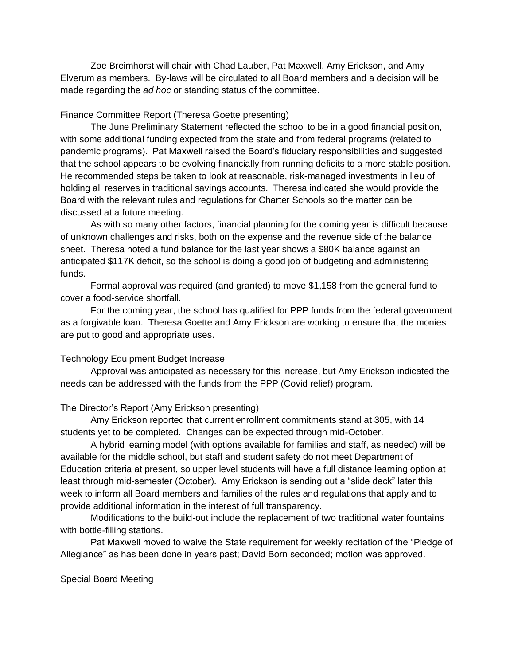Zoe Breimhorst will chair with Chad Lauber, Pat Maxwell, Amy Erickson, and Amy Elverum as members. By-laws will be circulated to all Board members and a decision will be made regarding the *ad hoc* or standing status of the committee.

## Finance Committee Report (Theresa Goette presenting)

The June Preliminary Statement reflected the school to be in a good financial position, with some additional funding expected from the state and from federal programs (related to pandemic programs). Pat Maxwell raised the Board's fiduciary responsibilities and suggested that the school appears to be evolving financially from running deficits to a more stable position. He recommended steps be taken to look at reasonable, risk-managed investments in lieu of holding all reserves in traditional savings accounts. Theresa indicated she would provide the Board with the relevant rules and regulations for Charter Schools so the matter can be discussed at a future meeting.

As with so many other factors, financial planning for the coming year is difficult because of unknown challenges and risks, both on the expense and the revenue side of the balance sheet. Theresa noted a fund balance for the last year shows a \$80K balance against an anticipated \$117K deficit, so the school is doing a good job of budgeting and administering funds.

Formal approval was required (and granted) to move \$1,158 from the general fund to cover a food-service shortfall.

For the coming year, the school has qualified for PPP funds from the federal government as a forgivable loan. Theresa Goette and Amy Erickson are working to ensure that the monies are put to good and appropriate uses.

#### Technology Equipment Budget Increase

Approval was anticipated as necessary for this increase, but Amy Erickson indicated the needs can be addressed with the funds from the PPP (Covid relief) program.

#### The Director's Report (Amy Erickson presenting)

Amy Erickson reported that current enrollment commitments stand at 305, with 14 students yet to be completed. Changes can be expected through mid-October.

A hybrid learning model (with options available for families and staff, as needed) will be available for the middle school, but staff and student safety do not meet Department of Education criteria at present, so upper level students will have a full distance learning option at least through mid-semester (October). Amy Erickson is sending out a "slide deck" later this week to inform all Board members and families of the rules and regulations that apply and to provide additional information in the interest of full transparency.

Modifications to the build-out include the replacement of two traditional water fountains with bottle-filling stations.

Pat Maxwell moved to waive the State requirement for weekly recitation of the "Pledge of Allegiance" as has been done in years past; David Born seconded; motion was approved.

Special Board Meeting